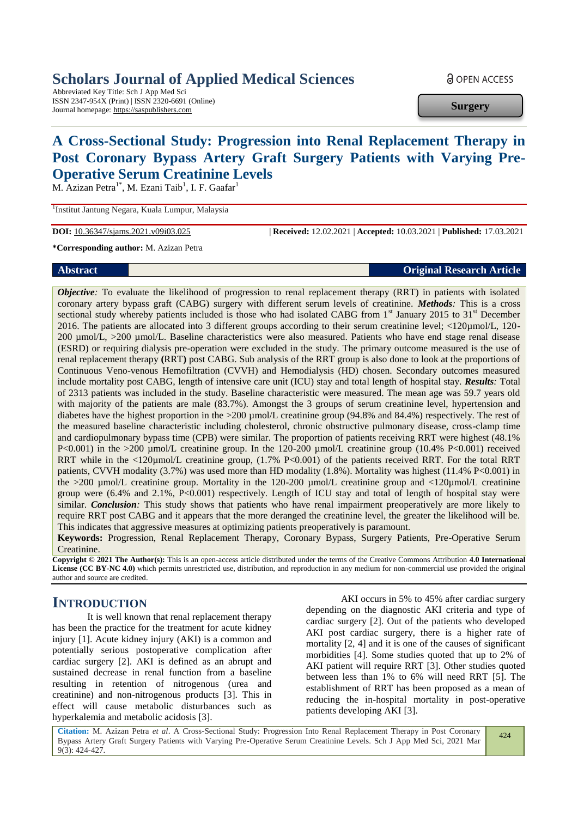## **Scholars Journal of Applied Medical Sciences**

Abbreviated Key Title: Sch J App Med Sci ISSN 2347-954X (Print) | ISSN 2320-6691 (Online) Journal homepage: https://saspublishers.com

**a** OPEN ACCESS

**Surgery**

# **A Cross-Sectional Study: Progression into Renal Replacement Therapy in Post Coronary Bypass Artery Graft Surgery Patients with Varying Pre-Operative Serum Creatinine Levels**

M. Azizan Petra<sup>1\*</sup>, M. Ezani Taib<sup>1</sup>, I. F. Gaafar<sup>1</sup>

<sup>1</sup>Institut Jantung Negara, Kuala Lumpur, Malaysia

**DOI:** 10.36347/sjams.2021.v09i03.025 | **Received:** 12.02.2021 | **Accepted:** 10.03.2021 | **Published:** 17.03.2021

**\*Corresponding author:** M. Azizan Petra

**Abstract Original Research Article** 

*Objective*: To evaluate the likelihood of progression to renal replacement therapy (RRT) in patients with isolated coronary artery bypass graft (CABG) surgery with different serum levels of creatinine. *Methods:* This is a cross sectional study whereby patients included is those who had isolated CABG from 1<sup>st</sup> January 2015 to 31<sup>st</sup> December 2016. The patients are allocated into 3 different groups according to their serum creatinine level; <120µmol/L, 120- 200 µmol/L, >200 µmol/L. Baseline characteristics were also measured. Patients who have end stage renal disease (ESRD) or requiring dialysis pre-operation were excluded in the study. The primary outcome measured is the use of renal replacement therapy **(**RRT**)** post CABG. Sub analysis of the RRT group is also done to look at the proportions of Continuous Veno-venous Hemofiltration (CVVH) and Hemodialysis (HD) chosen. Secondary outcomes measured include mortality post CABG, length of intensive care unit (ICU) stay and total length of hospital stay. *Results:* Total of 2313 patients was included in the study. Baseline characteristic were measured. The mean age was 59.7 years old with majority of the patients are male (83.7%). Amongst the 3 groups of serum creatinine level, hypertension and diabetes have the highest proportion in the >200 µmol/L creatinine group (94.8% and 84.4%) respectively. The rest of the measured baseline characteristic including cholesterol, chronic obstructive pulmonary disease, cross-clamp time and cardiopulmonary bypass time (CPB) were similar. The proportion of patients receiving RRT were highest (48.1%  $P<0.001$ ) in the  $>200$  µmol/L creatinine group. In the 120-200 µmol/L creatinine group (10.4% P<0.001) received RRT while in the <120µmol/L creatinine group,  $(1.7\% \text{ P} < 0.001)$  of the patients received RRT. For the total RRT patients, CVVH modality (3.7%) was used more than HD modality (1.8%). Mortality was highest (11.4% P<0.001) in the >200 µmol/L creatinine group. Mortality in the 120-200 µmol/L creatinine group and <120µmol/L creatinine group were (6.4% and 2.1%, P<0.001) respectively. Length of ICU stay and total of length of hospital stay were similar. *Conclusion:* This study shows that patients who have renal impairment preoperatively are more likely to require RRT post CABG and it appears that the more deranged the creatinine level, the greater the likelihood will be. This indicates that aggressive measures at optimizing patients preoperatively is paramount.

**Keywords:** Progression, Renal Replacement Therapy, Coronary Bypass, Surgery Patients, Pre-Operative Serum Creatinine.

**Copyright © 2021 The Author(s):** This is an open-access article distributed under the terms of the Creative Commons Attribution **4.0 International License (CC BY-NC 4.0)** which permits unrestricted use, distribution, and reproduction in any medium for non-commercial use provided the original author and source are credited.

### **INTRODUCTION**

It is well known that renal replacement therapy has been the practice for the treatment for acute kidney injury [1]. Acute kidney injury (AKI) is a common and potentially serious postoperative complication after cardiac surgery [2]. AKI is defined as an abrupt and sustained decrease in renal function from a baseline resulting in retention of nitrogenous (urea and creatinine) and non-nitrogenous products [3]. This in effect will cause metabolic disturbances such as hyperkalemia and metabolic acidosis [3].

AKI occurs in 5% to 45% after cardiac surgery depending on the diagnostic AKI criteria and type of cardiac surgery [2]. Out of the patients who developed AKI post cardiac surgery, there is a higher rate of mortality [2, 4] and it is one of the causes of significant morbidities [4]. Some studies quoted that up to 2% of AKI patient will require RRT [3]. Other studies quoted between less than 1% to 6% will need RRT [5]. The establishment of RRT has been proposed as a mean of reducing the in-hospital mortality in post-operative patients developing AKI [3].

**Citation:** M. Azizan Petra *et al*. A Cross-Sectional Study: Progression Into Renal Replacement Therapy in Post Coronary Bypass Artery Graft Surgery Patients with Varying Pre-Operative Serum Creatinine Levels. Sch J App Med Sci, 2021 Mar 9(3): 424-427.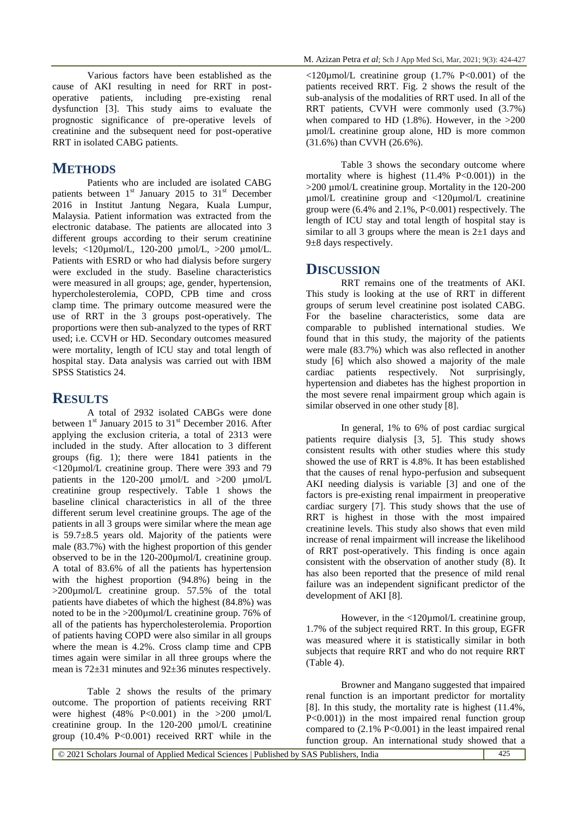Various factors have been established as the cause of AKI resulting in need for RRT in postoperative patients, including pre-existing renal dysfunction [3]. This study aims to evaluate the prognostic significance of pre-operative levels of creatinine and the subsequent need for post-operative RRT in isolated CABG patients.

### **METHODS**

Patients who are included are isolated CABG patients between  $1<sup>st</sup>$  January 2015 to 31 $<sup>st</sup>$  December</sup> 2016 in Institut Jantung Negara, Kuala Lumpur, Malaysia. Patient information was extracted from the electronic database. The patients are allocated into 3 different groups according to their serum creatinine levels; <120µmol/L, 120-200 µmol/L, >200 µmol/L. Patients with ESRD or who had dialysis before surgery were excluded in the study. Baseline characteristics were measured in all groups; age, gender, hypertension, hypercholesterolemia, COPD, CPB time and cross clamp time. The primary outcome measured were the use of RRT in the 3 groups post-operatively. The proportions were then sub-analyzed to the types of RRT used; i.e. CCVH or HD. Secondary outcomes measured were mortality, length of ICU stay and total length of hospital stay. Data analysis was carried out with IBM SPSS Statistics 24.

#### **RESULTS**

A total of 2932 isolated CABGs were done between  $1<sup>st</sup>$  January 2015 to 31 $<sup>st</sup>$  December 2016. After</sup> applying the exclusion criteria, a total of 2313 were included in the study. After allocation to 3 different groups (fig. 1); there were 1841 patients in the <120µmol/L creatinine group. There were 393 and 79 patients in the 120-200 µmol/L and >200 µmol/L creatinine group respectively. Table 1 shows the baseline clinical characteristics in all of the three different serum level creatinine groups. The age of the patients in all 3 groups were similar where the mean age is 59.7±8.5 years old. Majority of the patients were male (83.7%) with the highest proportion of this gender observed to be in the 120-200µmol/L creatinine group. A total of 83.6% of all the patients has hypertension with the highest proportion (94.8%) being in the  $>200$ µmol/L creatinine group. 57.5% of the total patients have diabetes of which the highest (84.8%) was noted to be in the >200µmol/L creatinine group. 76% of all of the patients has hypercholesterolemia. Proportion of patients having COPD were also similar in all groups where the mean is 4.2%. Cross clamp time and CPB times again were similar in all three groups where the mean is 72±31 minutes and 92±36 minutes respectively.

Table 2 shows the results of the primary outcome. The proportion of patients receiving RRT were highest  $(48\% \text{ P} < 0.001)$  in the  $>200 \text{ \mu}$  mol/L creatinine group. In the 120-200 µmol/L creatinine group (10.4% P<0.001) received RRT while in the

 $\langle 120 \mu \text{mol/L}$  creatinine group (1.7% P $\langle 0.001 \rangle$  of the patients received RRT. Fig. 2 shows the result of the sub-analysis of the modalities of RRT used. In all of the RRT patients, CVVH were commonly used (3.7%) when compared to HD  $(1.8\%)$ . However, in the  $>200$ µmol/L creatinine group alone, HD is more common (31.6%) than CVVH (26.6%).

Table 3 shows the secondary outcome where mortality where is highest  $(11.4\% \text{ P} < 0.001)$  in the >200 µmol/L creatinine group. Mortality in the 120-200  $\mu$ mol/L creatinine group and  $\langle 120 \mu$ mol/L creatinine group were  $(6.4\% \text{ and } 2.1\%, P<0.001)$  respectively. The length of ICU stay and total length of hospital stay is similar to all 3 groups where the mean is  $2\pm 1$  days and 9±8 days respectively.

#### **DISCUSSION**

RRT remains one of the treatments of AKI. This study is looking at the use of RRT in different groups of serum level creatinine post isolated CABG. For the baseline characteristics, some data are comparable to published international studies. We found that in this study, the majority of the patients were male (83.7%) which was also reflected in another study [6] which also showed a majority of the male cardiac patients respectively. Not surprisingly, hypertension and diabetes has the highest proportion in the most severe renal impairment group which again is similar observed in one other study [8].

In general, 1% to 6% of post cardiac surgical patients require dialysis [3, 5]. This study shows consistent results with other studies where this study showed the use of RRT is 4.8%. It has been established that the causes of renal hypo-perfusion and subsequent AKI needing dialysis is variable [3] and one of the factors is pre-existing renal impairment in preoperative cardiac surgery [7]. This study shows that the use of RRT is highest in those with the most impaired creatinine levels. This study also shows that even mild increase of renal impairment will increase the likelihood of RRT post-operatively. This finding is once again consistent with the observation of another study (8). It has also been reported that the presence of mild renal failure was an independent significant predictor of the development of AKI [8].

However, in the <120µmol/L creatinine group, 1.7% of the subject required RRT. In this group, EGFR was measured where it is statistically similar in both subjects that require RRT and who do not require RRT (Table 4).

Browner and Mangano suggested that impaired renal function is an important predictor for mortality [8]. In this study, the mortality rate is highest (11.4%, P<0.001)) in the most impaired renal function group compared to  $(2.1\% \text{ P} < 0.001)$  in the least impaired renal function group. An international study showed that a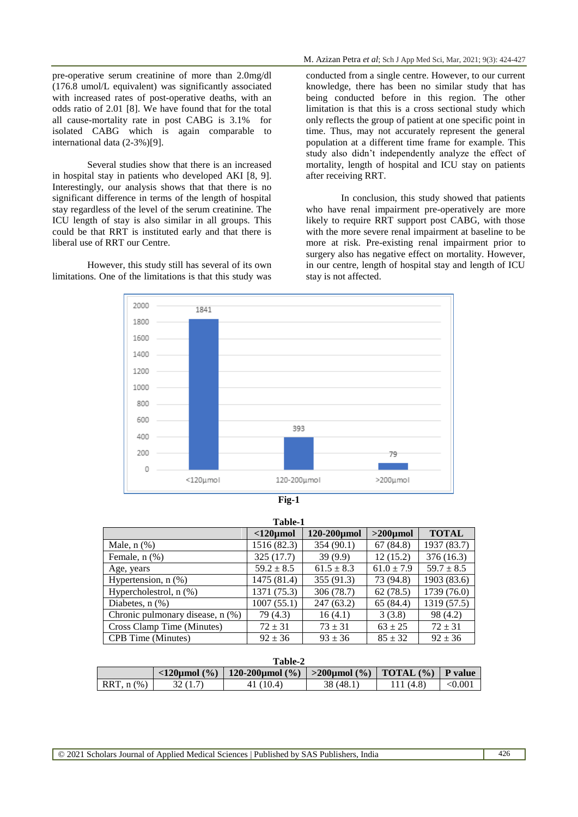pre-operative serum creatinine of more than 2.0mg/dl (176.8 umol/L equivalent) was significantly associated with increased rates of post-operative deaths, with an odds ratio of 2.01 [8]. We have found that for the total all cause-mortality rate in post CABG is 3.1% for isolated CABG which is again comparable to international data (2-3%)[9].

Several studies show that there is an increased in hospital stay in patients who developed AKI [8, 9]. Interestingly, our analysis shows that that there is no significant difference in terms of the length of hospital stay regardless of the level of the serum creatinine. The ICU length of stay is also similar in all groups. This could be that RRT is instituted early and that there is liberal use of RRT our Centre.

However, this study still has several of its own limitations. One of the limitations is that this study was

conducted from a single centre. However, to our current knowledge, there has been no similar study that has being conducted before in this region. The other limitation is that this is a cross sectional study which only reflects the group of patient at one specific point in time. Thus, may not accurately represent the general population at a different time frame for example. This study also didn't independently analyze the effect of mortality, length of hospital and ICU stay on patients after receiving RRT.

In conclusion, this study showed that patients who have renal impairment pre-operatively are more likely to require RRT support post CABG, with those with the more severe renal impairment at baseline to be more at risk. Pre-existing renal impairment prior to surgery also has negative effect on mortality. However, in our centre, length of hospital stay and length of ICU stay is not affected.



| Table-1                          |                   |                   |                |                |  |
|----------------------------------|-------------------|-------------------|----------------|----------------|--|
|                                  | $<$ 120 $\mu$ mol | $120-200 \mu$ mol | $>200 \mu$ mol | <b>TOTAL</b>   |  |
| Male, $n$ $(\%)$                 | 1516 (82.3)       | 354(90.1)         | 67(84.8)       | 1937 (83.7)    |  |
| Female, $n$ $(\%)$               | 325(17.7)         | 39(9.9)           | 12(15.2)       | 376(16.3)      |  |
| Age, years                       | $59.2 \pm 8.5$    | $61.5 \pm 8.3$    | $61.0 \pm 7.9$ | $59.7 \pm 8.5$ |  |
| Hypertension, $n$ $(\%)$         | 1475 (81.4)       | 355 (91.3)        | 73 (94.8)      | 1903 (83.6)    |  |
| Hypercholestrol, $n$ $(\%)$      | 1371 (75.3)       | 306 (78.7)        | 62(78.5)       | 1739 (76.0)    |  |
| Diabetes, $n$ $(\%)$             | 1007(55.1)        | 247(63.2)         | 65 (84.4)      | 1319 (57.5)    |  |
| Chronic pulmonary disease, n (%) | 79 (4.3)          | 16(4.1)           | 3(3.8)         | 98 (4.2)       |  |
| Cross Clamp Time (Minutes)       | $72 \pm 31$       | $73 \pm 31$       | $63 \pm 25$    | $72 \pm 31$    |  |
| <b>CPB</b> Time (Minutes)        | $92 \pm 36$       | $93 \pm 36$       | $85 \pm 32$    | $92 \pm 36$    |  |

**Table-1**

| Table-2      |                                          |                                                                          |           |           |         |
|--------------|------------------------------------------|--------------------------------------------------------------------------|-----------|-----------|---------|
|              | $\langle 120 \text{umol} ( \% ) \rangle$ | 120-200 km   $\gamma$   $>$ 200 km   $\gamma$   TOTAL $\gamma$   P value |           |           |         |
| $RRT, n$ (%) |                                          | 41 (10.4)                                                                | 38 (48.1) | 111 (4.8) | < 0.001 |